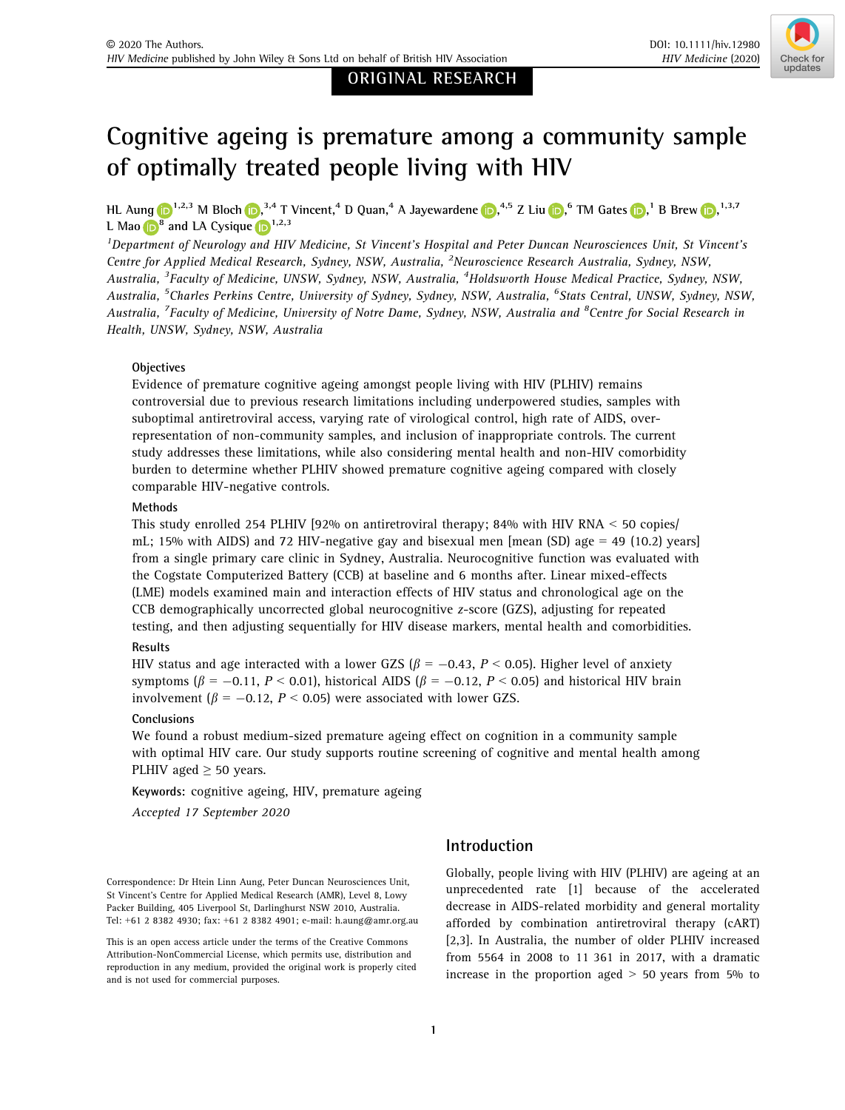ORIGINAL RESEARCH



# Cognitive ageing is premature among a community sample of optimally treated people living with HIV

HL Aung **D**<sup>1,2,3</sup> M Bloc[h](https://orcid.org/0000-0002-1143-5013) **D**,<sup>3,4</sup> T Vinc[e](https://orcid.org/0000-0002-7360-0221)nt,<[s](https://orcid.org/0000-0003-0113-8282)up>4</sup> D Quan,<sup>4</sup> A Jayewardene **D**,<sup>4,5</sup> Z Liu **D**,<sup>6</sup> TM Gates **D**,<sup>1</sup> B Brew **D**,<sup>1,3,7</sup> L Ma[o](https://orcid.org/0000-0003-0995-5789)  $\mathbf{B}^8$  and LA Cysique  $\mathbf{D}^{1,2,3}$ 

<sup>1</sup>Department of Neurology and HIV Medicine, St Vincent's Hospital and Peter Duncan Neurosciences Unit, St Vincent's Centre for Applied Medical Research, Sydney, NSW, Australia, <sup>2</sup>Neuroscience Research Australia, Sydney, NSW, Australia, <sup>3</sup>Faculty of Medicine, UNSW, Sydney, NSW, Australia, <sup>4</sup>Holdsworth House Medical Practice, Sydney, NSW, Australia, <sup>5</sup>Charles Perkins Centre, University of Sydney, Sydney, NSW, Australia, <sup>6</sup>Stats Central, UNSW, Sydney, NSW, Australia, <sup>7</sup>Faculty of Medicine, University of Notre Dame, Sydney, NSW, Australia and <sup>8</sup>Centre for Social Research in Health, UNSW, Sydney, NSW, Australia

## **Objectives**

Evidence of premature cognitive ageing amongst people living with HIV (PLHIV) remains controversial due to previous research limitations including underpowered studies, samples with suboptimal antiretroviral access, varying rate of virological control, high rate of AIDS, overrepresentation of non-community samples, and inclusion of inappropriate controls. The current study addresses these limitations, while also considering mental health and non-HIV comorbidity burden to determine whether PLHIV showed premature cognitive ageing compared with closely comparable HIV-negative controls.

## Methods

This study enrolled 254 PLHIV [92% on antiretroviral therapy; 84% with HIV RNA  $\leq$  50 copies/ mL; 15% with AIDS) and 72 HIV-negative gay and bisexual men [mean (SD) age  $=$  49 (10.2) years] from a single primary care clinic in Sydney, Australia. Neurocognitive function was evaluated with the Cogstate Computerized Battery (CCB) at baseline and 6 months after. Linear mixed-effects (LME) models examined main and interaction effects of HIV status and chronological age on the CCB demographically uncorrected global neurocognitive z-score (GZS), adjusting for repeated testing, and then adjusting sequentially for HIV disease markers, mental health and comorbidities.

# Results

HIV status and age interacted with a lower GZS ( $\beta$  = -0.43, P < 0.05). Higher level of anxiety symptoms ( $\beta = -0.11$ ,  $P < 0.01$ ), historical AIDS ( $\beta = -0.12$ ,  $P < 0.05$ ) and historical HIV brain involvement ( $\beta = -0.12$ ,  $P < 0.05$ ) were associated with lower GZS.

## Conclusions

We found a robust medium-sized premature ageing effect on cognition in a community sample with optimal HIV care. Our study supports routine screening of cognitive and mental health among PLHIV aged  $\geq$  50 years.

Keywords: cognitive ageing, HIV, premature ageing

Accepted 17 September 2020

# Introduction

Correspondence: Dr Htein Linn Aung, Peter Duncan Neurosciences Unit, St Vincent's Centre for Applied Medical Research (AMR), Level 8, Lowy Packer Building, 405 Liverpool St, Darlinghurst NSW 2010, Australia. Tel: +61 2 8382 4930; fax: +61 2 8382 4901; e-mail: [h.aung@amr.org.au](mailto:) Globally, people living with HIV (PLHIV) are ageing at an unprecedented rate [1] because of the accelerated decrease in AIDS-related morbidity and general mortality afforded by combination antiretroviral therapy (cART) [2,3]. In Australia, the number of older PLHIV increased from 5564 in 2008 to 11 361 in 2017, with a dramatic increase in the proportion aged  $> 50$  years from 5% to

This is an open access article under the terms of the [Creative Commons](http://creativecommons.org/licenses/by-nc/4.0/) [Attribution-NonCommercial](http://creativecommons.org/licenses/by-nc/4.0/) License, which permits use, distribution and reproduction in any medium, provided the original work is properly cited and is not used for commercial purposes.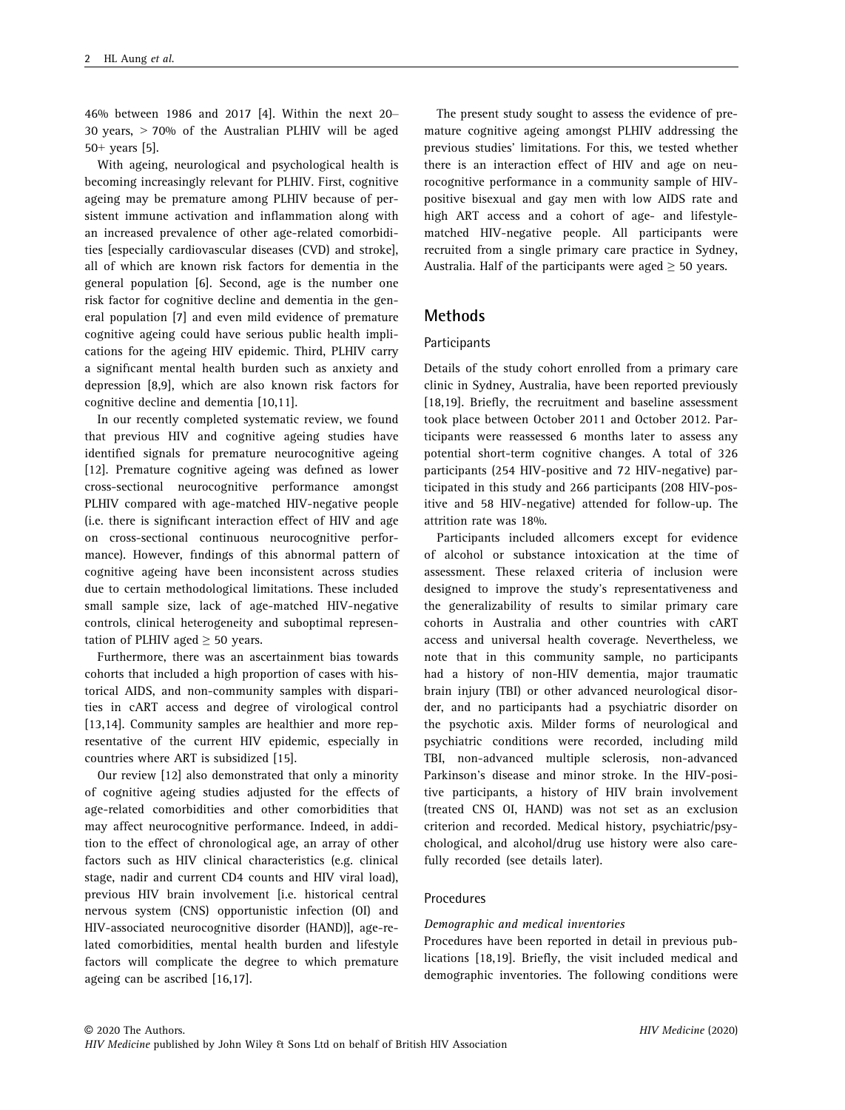46% between 1986 and 2017 [4]. Within the next 20– 30 years,  $> 70\%$  of the Australian PLHIV will be aged 50+ years [5].

With ageing, neurological and psychological health is becoming increasingly relevant for PLHIV. First, cognitive ageing may be premature among PLHIV because of persistent immune activation and inflammation along with an increased prevalence of other age-related comorbidities [especially cardiovascular diseases (CVD) and stroke], all of which are known risk factors for dementia in the general population [6]. Second, age is the number one risk factor for cognitive decline and dementia in the general population [7] and even mild evidence of premature cognitive ageing could have serious public health implications for the ageing HIV epidemic. Third, PLHIV carry a significant mental health burden such as anxiety and depression [8,9], which are also known risk factors for cognitive decline and dementia [10,11].

In our recently completed systematic review, we found that previous HIV and cognitive ageing studies have identified signals for premature neurocognitive ageing [12]. Premature cognitive ageing was defined as lower cross-sectional neurocognitive performance amongst PLHIV compared with age-matched HIV-negative people (i.e. there is significant interaction effect of HIV and age on cross-sectional continuous neurocognitive performance). However, findings of this abnormal pattern of cognitive ageing have been inconsistent across studies due to certain methodological limitations. These included small sample size, lack of age-matched HIV-negative controls, clinical heterogeneity and suboptimal representation of PLHIV aged  $\geq$  50 years.

Furthermore, there was an ascertainment bias towards cohorts that included a high proportion of cases with historical AIDS, and non-community samples with disparities in cART access and degree of virological control [13,14]. Community samples are healthier and more representative of the current HIV epidemic, especially in countries where ART is subsidized [15].

Our review [12] also demonstrated that only a minority of cognitive ageing studies adjusted for the effects of age-related comorbidities and other comorbidities that may affect neurocognitive performance. Indeed, in addition to the effect of chronological age, an array of other factors such as HIV clinical characteristics (e.g. clinical stage, nadir and current CD4 counts and HIV viral load), previous HIV brain involvement [i.e. historical central nervous system (CNS) opportunistic infection (OI) and HIV-associated neurocognitive disorder (HAND)], age-related comorbidities, mental health burden and lifestyle factors will complicate the degree to which premature ageing can be ascribed [16,17].

The present study sought to assess the evidence of premature cognitive ageing amongst PLHIV addressing the previous studies' limitations. For this, we tested whether there is an interaction effect of HIV and age on neurocognitive performance in a community sample of HIVpositive bisexual and gay men with low AIDS rate and high ART access and a cohort of age- and lifestylematched HIV-negative people. All participants were recruited from a single primary care practice in Sydney, Australia. Half of the participants were aged  $\geq$  50 years.

## Methods

#### **Participants**

Details of the study cohort enrolled from a primary care clinic in Sydney, Australia, have been reported previously [18,19]. Briefly, the recruitment and baseline assessment took place between October 2011 and October 2012. Participants were reassessed 6 months later to assess any potential short-term cognitive changes. A total of 326 participants (254 HIV-positive and 72 HIV-negative) participated in this study and 266 participants (208 HIV-positive and 58 HIV-negative) attended for follow-up. The attrition rate was 18%.

Participants included allcomers except for evidence of alcohol or substance intoxication at the time of assessment. These relaxed criteria of inclusion were designed to improve the study's representativeness and the generalizability of results to similar primary care cohorts in Australia and other countries with cART access and universal health coverage. Nevertheless, we note that in this community sample, no participants had a history of non-HIV dementia, major traumatic brain injury (TBI) or other advanced neurological disorder, and no participants had a psychiatric disorder on the psychotic axis. Milder forms of neurological and psychiatric conditions were recorded, including mild TBI, non-advanced multiple sclerosis, non-advanced Parkinson's disease and minor stroke. In the HIV-positive participants, a history of HIV brain involvement (treated CNS OI, HAND) was not set as an exclusion criterion and recorded. Medical history, psychiatric/psychological, and alcohol/drug use history were also carefully recorded (see details later).

### Procedures

#### Demographic and medical inventories

Procedures have been reported in detail in previous publications [18,19]. Briefly, the visit included medical and demographic inventories. The following conditions were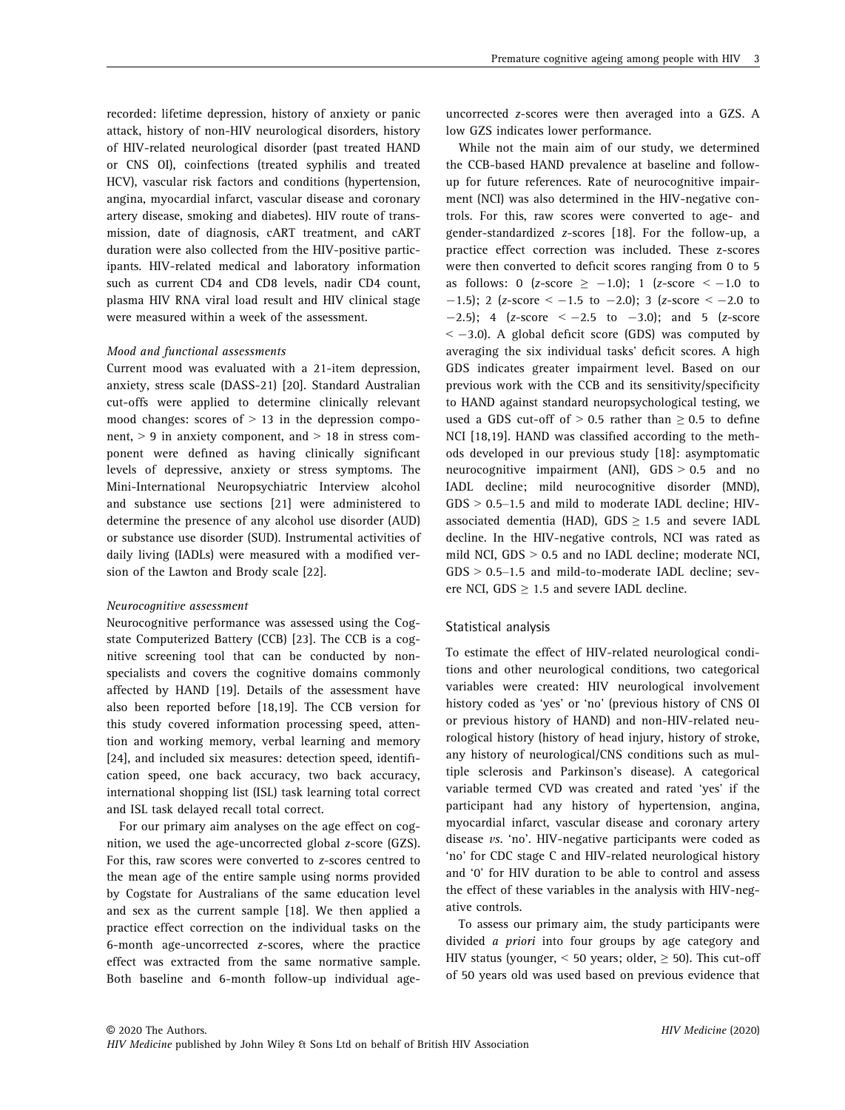recorded: lifetime depression, history of anxiety or panic attack, history of non-HIV neurological disorders, history of HIV-related neurological disorder (past treated HAND or CNS OI), coinfections (treated syphilis and treated HCV), vascular risk factors and conditions (hypertension, angina, myocardial infarct, vascular disease and coronary artery disease, smoking and diabetes). HIV route of transmission, date of diagnosis, cART treatment, and cART duration were also collected from the HIV-positive participants. HIV-related medical and laboratory information such as current CD4 and CD8 levels, nadir CD4 count, plasma HIV RNA viral load result and HIV clinical stage were measured within a week of the assessment.

#### Mood and functional assessments

Current mood was evaluated with a 21-item depression, anxiety, stress scale (DASS-21) [20]. Standard Australian cut-offs were applied to determine clinically relevant mood changes: scores of  $> 13$  in the depression component,  $> 9$  in anxiety component, and  $> 18$  in stress component were defined as having clinically significant levels of depressive, anxiety or stress symptoms. The Mini-International Neuropsychiatric Interview alcohol and substance use sections [21] were administered to determine the presence of any alcohol use disorder (AUD) or substance use disorder (SUD). Instrumental activities of daily living (IADLs) were measured with a modified version of the Lawton and Brody scale [22].

#### Neurocognitive assessment

Neurocognitive performance was assessed using the Cogstate Computerized Battery (CCB) [23]. The CCB is a cognitive screening tool that can be conducted by nonspecialists and covers the cognitive domains commonly affected by HAND [19]. Details of the assessment have also been reported before [18,19]. The CCB version for this study covered information processing speed, attention and working memory, verbal learning and memory [24], and included six measures: detection speed, identification speed, one back accuracy, two back accuracy, international shopping list (ISL) task learning total correct and ISL task delayed recall total correct.

For our primary aim analyses on the age effect on cognition, we used the age-uncorrected global z-score (GZS). For this, raw scores were converted to z-scores centred to the mean age of the entire sample using norms provided by Cogstate for Australians of the same education level and sex as the current sample [18]. We then applied a practice effect correction on the individual tasks on the 6-month age-uncorrected z-scores, where the practice effect was extracted from the same normative sample. Both baseline and 6-month follow-up individual ageuncorrected z-scores were then averaged into a GZS. A low GZS indicates lower performance.

While not the main aim of our study, we determined the CCB-based HAND prevalence at baseline and followup for future references. Rate of neurocognitive impairment (NCI) was also determined in the HIV-negative controls. For this, raw scores were converted to age- and gender-standardized z-scores [18]. For the follow-up, a practice effect correction was included. These z-scores were then converted to deficit scores ranging from 0 to 5 as follows: 0 (z-score  $\ge$  -1.0); 1 (z-score  $\le$  -1.0 to  $-1.5$ ); 2 (z-score  $<-1.5$  to  $-2.0$ ); 3 (z-score  $<-2.0$  to  $-2.5$ ); 4 (z-score  $<-2.5$  to  $-3.0$ ); and 5 (z-score  $<-3.0$ ). A global deficit score (GDS) was computed by averaging the six individual tasks' deficit scores. A high GDS indicates greater impairment level. Based on our previous work with the CCB and its sensitivity/specificity to HAND against standard neuropsychological testing, we used a GDS cut-off of  $> 0.5$  rather than  $\geq 0.5$  to define NCI [18,19]. HAND was classified according to the methods developed in our previous study [18]: asymptomatic neurocognitive impairment (ANI),  $GDS > 0.5$  and no IADL decline; mild neurocognitive disorder (MND),  $GDS > 0.5-1.5$  and mild to moderate IADL decline; HIVassociated dementia (HAD), GDS  $\geq$  1.5 and severe IADL decline. In the HIV-negative controls, NCI was rated as mild NCI, GDS > 0.5 and no IADL decline; moderate NCI, GDS > 0.5–1.5 and mild-to-moderate IADL decline; severe NCI, GDS  $\geq$  1.5 and severe IADL decline.

#### Statistical analysis

To estimate the effect of HIV-related neurological conditions and other neurological conditions, two categorical variables were created: HIV neurological involvement history coded as 'yes' or 'no' (previous history of CNS OI or previous history of HAND) and non-HIV-related neurological history (history of head injury, history of stroke, any history of neurological/CNS conditions such as multiple sclerosis and Parkinson's disease). A categorical variable termed CVD was created and rated 'yes' if the participant had any history of hypertension, angina, myocardial infarct, vascular disease and coronary artery disease vs. 'no'. HIV-negative participants were coded as 'no' for CDC stage C and HIV-related neurological history and '0' for HIV duration to be able to control and assess the effect of these variables in the analysis with HIV-negative controls.

To assess our primary aim, the study participants were divided a priori into four groups by age category and HIV status (younger,  $\leq 50$  years; older,  $\geq 50$ ). This cut-off of 50 years old was used based on previous evidence that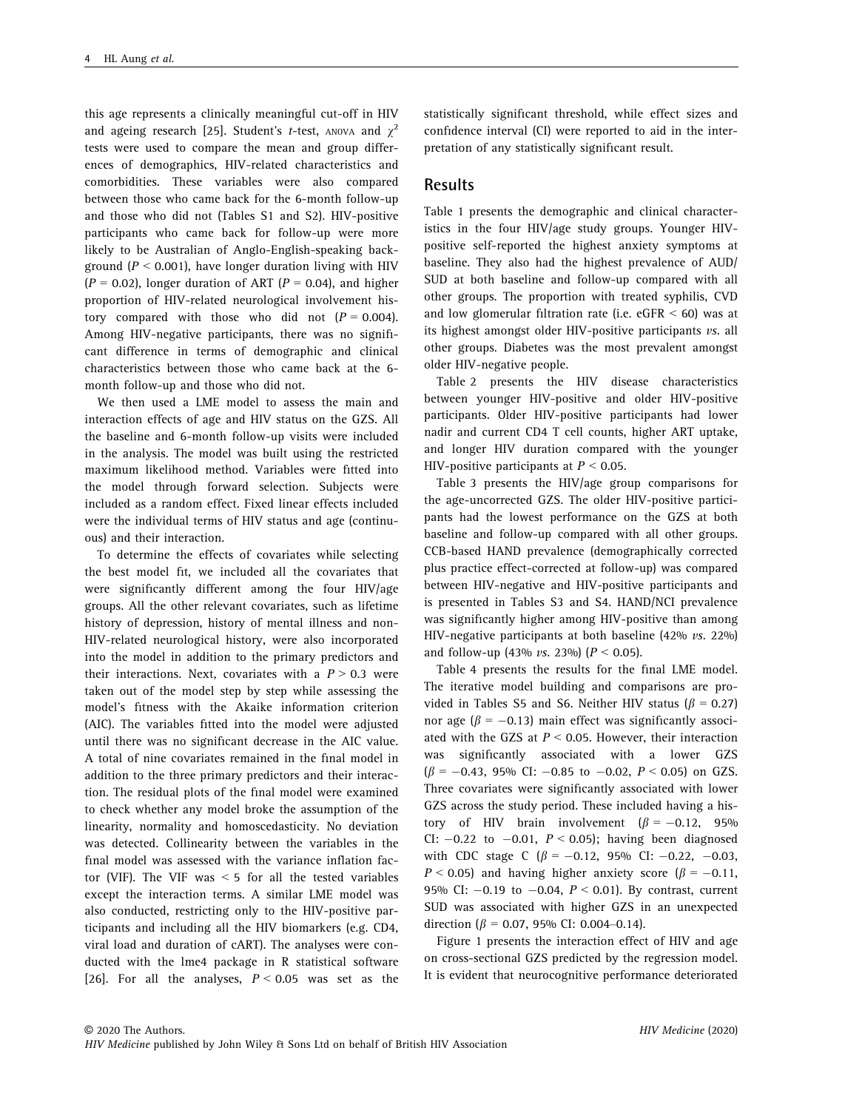this age represents a clinically meaningful cut-off in HIV and ageing research [25]. Student's *t*-test, ANOVA and  $\chi^2$ tests were used to compare the mean and group differences of demographics, HIV-related characteristics and comorbidities. These variables were also compared between those who came back for the 6-month follow-up and those who did not (Tables S1 and S2). HIV-positive participants who came back for follow-up were more likely to be Australian of Anglo-English-speaking background ( $P < 0.001$ ), have longer duration living with HIV  $(P = 0.02)$ , longer duration of ART  $(P = 0.04)$ , and higher proportion of HIV-related neurological involvement history compared with those who did not  $(P = 0.004)$ . Among HIV-negative participants, there was no significant difference in terms of demographic and clinical characteristics between those who came back at the 6 month follow-up and those who did not.

We then used a LME model to assess the main and interaction effects of age and HIV status on the GZS. All the baseline and 6-month follow-up visits were included in the analysis. The model was built using the restricted maximum likelihood method. Variables were fitted into the model through forward selection. Subjects were included as a random effect. Fixed linear effects included were the individual terms of HIV status and age (continuous) and their interaction.

To determine the effects of covariates while selecting the best model fit, we included all the covariates that were significantly different among the four HIV/age groups. All the other relevant covariates, such as lifetime history of depression, history of mental illness and non-HIV-related neurological history, were also incorporated into the model in addition to the primary predictors and their interactions. Next, covariates with a  $P > 0.3$  were taken out of the model step by step while assessing the model's fitness with the Akaike information criterion (AIC). The variables fitted into the model were adjusted until there was no significant decrease in the AIC value. A total of nine covariates remained in the final model in addition to the three primary predictors and their interaction. The residual plots of the final model were examined to check whether any model broke the assumption of the linearity, normality and homoscedasticity. No deviation was detected. Collinearity between the variables in the final model was assessed with the variance inflation factor (VIF). The VIF was  $\leq$  5 for all the tested variables except the interaction terms. A similar LME model was also conducted, restricting only to the HIV-positive participants and including all the HIV biomarkers (e.g. CD4, viral load and duration of cART). The analyses were conducted with the lme4 package in R statistical software [26]. For all the analyses,  $P < 0.05$  was set as the

statistically significant threshold, while effect sizes and confidence interval (CI) were reported to aid in the interpretation of any statistically significant result.

## Results

Table 1 presents the demographic and clinical characteristics in the four HIV/age study groups. Younger HIVpositive self-reported the highest anxiety symptoms at baseline. They also had the highest prevalence of AUD/ SUD at both baseline and follow-up compared with all other groups. The proportion with treated syphilis, CVD and low glomerular filtration rate (i.e.  $eGFR < 60$ ) was at its highest amongst older HIV-positive participants vs. all other groups. Diabetes was the most prevalent amongst older HIV-negative people.

Table 2 presents the HIV disease characteristics between younger HIV-positive and older HIV-positive participants. Older HIV-positive participants had lower nadir and current CD4 T cell counts, higher ART uptake, and longer HIV duration compared with the younger HIV-positive participants at  $P \le 0.05$ .

Table 3 presents the HIV/age group comparisons for the age-uncorrected GZS. The older HIV-positive participants had the lowest performance on the GZS at both baseline and follow-up compared with all other groups. CCB-based HAND prevalence (demographically corrected plus practice effect-corrected at follow-up) was compared between HIV-negative and HIV-positive participants and is presented in Tables S3 and S4. HAND/NCI prevalence was significantly higher among HIV-positive than among HIV-negative participants at both baseline  $(42\% \text{ vs. } 22\%)$ and follow-up (43% *vs.* 23%) ( $P < 0.05$ ).

Table 4 presents the results for the final LME model. The iterative model building and comparisons are provided in Tables S5 and S6. Neither HIV status ( $\beta$  = 0.27) nor age ( $\beta = -0.13$ ) main effect was significantly associated with the GZS at  $P < 0.05$ . However, their interaction was significantly associated with a lower GZS  $(\beta = -0.43, 95\% \text{ CI: } -0.85 \text{ to } -0.02, P < 0.05) \text{ on GZS.}$ Three covariates were significantly associated with lower GZS across the study period. These included having a history of HIV brain involvement  $(\beta = -0.12, 95\%)$ CI:  $-0.22$  to  $-0.01$ ,  $P < 0.05$ ); having been diagnosed with CDC stage C ( $\beta$  = -0.12, 95% CI: -0.22, -0.03,  $P < 0.05$ ) and having higher anxiety score ( $\beta = -0.11$ , 95% CI:  $-0.19$  to  $-0.04$ ,  $P < 0.01$ ). By contrast, current SUD was associated with higher GZS in an unexpected direction ( $\beta$  = 0.07, 95% CI: 0.004–0.14).

Figure 1 presents the interaction effect of HIV and age on cross-sectional GZS predicted by the regression model. It is evident that neurocognitive performance deteriorated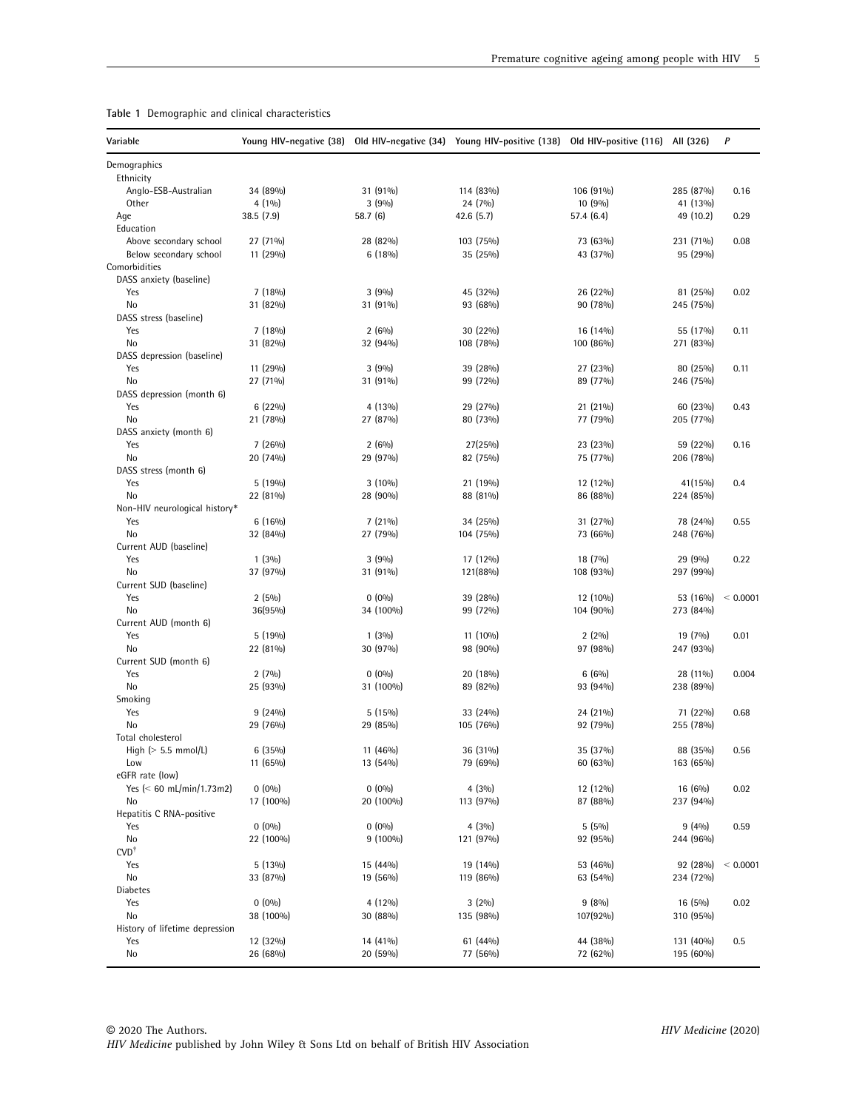| Variable                          |            |            | Young HIV-negative (38) Old HIV-negative (34) Young HIV-positive (138) Old HIV-positive (116) All (326) |            |           | P            |
|-----------------------------------|------------|------------|---------------------------------------------------------------------------------------------------------|------------|-----------|--------------|
| Demographics                      |            |            |                                                                                                         |            |           |              |
| Ethnicity<br>Anglo-ESB-Australian | 34 (89%)   | 31 (91%)   | 114 (83%)                                                                                               | 106 (91%)  | 285 (87%) | 0.16         |
| <b>Other</b>                      | $4(1\%)$   | 3(9%)      | 24 (7%)                                                                                                 | 10 (9%)    | 41 (13%)  |              |
| Age                               | 38.5 (7.9) | 58.7 (6)   | 42.6 (5.7)                                                                                              | 57.4 (6.4) | 49 (10.2) | 0.29         |
| Education                         |            |            |                                                                                                         |            |           |              |
| Above secondary school            | 27 (71%)   | 28 (82%)   | 103 (75%)                                                                                               | 73 (63%)   | 231 (71%) | 0.08         |
| Below secondary school            | 11 (29%)   | $6(18\%)$  | 35 (25%)                                                                                                | 43 (37%)   | 95 (29%)  |              |
| Comorbidities                     |            |            |                                                                                                         |            |           |              |
| DASS anxiety (baseline)           |            |            |                                                                                                         |            |           |              |
| Yes                               | 7(18%)     | 3(9%)      | 45 (32%)                                                                                                | 26 (22%)   | 81 (25%)  | 0.02         |
| No                                | 31 (82%)   | 31 (91%)   | 93 (68%)                                                                                                | 90 (78%)   | 245 (75%) |              |
| DASS stress (baseline)            |            |            |                                                                                                         |            |           |              |
| Yes                               | 7(18%)     | $2(6\%)$   | 30 (22%)                                                                                                | 16 (14%)   | 55 (17%)  | 0.11         |
| No                                | 31 (82%)   | 32 (94%)   | 108 (78%)                                                                                               | 100 (86%)  | 271 (83%) |              |
| DASS depression (baseline)        |            |            |                                                                                                         |            |           |              |
| Yes                               | 11 (29%)   | 3(9%)      | 39 (28%)                                                                                                | 27 (23%)   | 80 (25%)  | 0.11         |
| No                                | 27 (71%)   | 31 (91%)   | 99 (72%)                                                                                                | 89 (77%)   | 246 (75%) |              |
| DASS depression (month 6)         |            |            |                                                                                                         |            |           |              |
| Yes                               | $6(22\%)$  | 4 (13%)    | 29 (27%)                                                                                                | 21 (21%)   | 60 (23%)  | 0.43         |
| No                                | 21 (78%)   | 27 (87%)   | 80 (73%)                                                                                                | 77 (79%)   | 205 (77%) |              |
| DASS anxiety (month 6)            |            |            |                                                                                                         |            |           |              |
| Yes                               | 7(26%)     | $2(6\%)$   | 27(25%)                                                                                                 | 23 (23%)   | 59 (22%)  | 0.16         |
| No                                | 20 (74%)   | 29 (97%)   | 82 (75%)                                                                                                | 75 (77%)   | 206 (78%) |              |
| DASS stress (month 6)             |            |            |                                                                                                         |            |           |              |
| Yes                               | 5(19%)     | $3(10\%)$  | 21 (19%)                                                                                                | 12 (12%)   | 41(15%)   | 0.4          |
| No                                | 22 (81%)   | 28 (90%)   | 88 (81%)                                                                                                | 86 (88%)   | 224 (85%) |              |
| Non-HIV neurological history*     |            |            |                                                                                                         |            |           |              |
| Yes                               | $6(16\%)$  | $7(21\%)$  | 34 (25%)                                                                                                | 31 (27%)   | 78 (24%)  | 0.55         |
| No                                | 32 (84%)   | 27 (79%)   | 104 (75%)                                                                                               | 73 (66%)   | 248 (76%) |              |
| Current AUD (baseline)            |            |            |                                                                                                         |            |           |              |
| Yes                               | $1(3\%)$   | 3(9%)      | 17 (12%)                                                                                                | 18 (7%)    | 29 (9%)   | 0.22         |
| No                                | 37 (97%)   | 31 (91%)   | 121(88%)                                                                                                | 108 (93%)  | 297 (99%) |              |
| Current SUD (baseline)            |            |            |                                                                                                         |            |           |              |
| Yes<br>No                         | 2(5%)      | $0(0\%)$   | 39 (28%)                                                                                                | 12 (10%)   | 53 (16%)  | ${}< 0.0001$ |
| Current AUD (month 6)             | 36(95%)    | 34 (100%)  | 99 (72%)                                                                                                | 104 (90%)  | 273 (84%) |              |
| Yes                               | 5(19%)     | $1(3\%)$   | 11 (10%)                                                                                                | $2(2\%)$   | 19 (7%)   | 0.01         |
| No                                | 22 (81%)   | 30 (97%)   | 98 (90%)                                                                                                | 97 (98%)   | 247 (93%) |              |
| Current SUD (month 6)             |            |            |                                                                                                         |            |           |              |
| Yes                               | $2(7\%)$   | $0(0\%)$   | 20 (18%)                                                                                                | $6(6\%)$   | 28 (11%)  | 0.004        |
| No                                | 25 (93%)   | 31 (100%)  | 89 (82%)                                                                                                | 93 (94%)   | 238 (89%) |              |
| Smoking                           |            |            |                                                                                                         |            |           |              |
| Yes                               | $9(24\%)$  | $5(15\%)$  | 33 (24%)                                                                                                | 24 (21%)   | 71 (22%)  | 0.68         |
| No                                | 29 (76%)   | 29 (85%)   | 105 (76%)                                                                                               | 92 (79%)   | 255 (78%) |              |
| Total cholesterol                 |            |            |                                                                                                         |            |           |              |
| High ( $> 5.5$ mmol/L)            | 6(35%)     | $11(46\%)$ | 36 (31%)                                                                                                | 35 (37%)   | 88 (35%)  | 0.56         |
| Low                               | 11 (65%)   | 13 (54%)   | 79 (69%)                                                                                                | 60 (63%)   | 163 (65%) |              |
| eGFR rate (low)                   |            |            |                                                                                                         |            |           |              |
| Yes $($ 60 mL/min/1.73m2)         | $0(0\%)$   | $0(0\%)$   | $4(3\%)$                                                                                                | 12 (12%)   | 16 (6%)   | 0.02         |
| No                                | 17 (100%)  | 20 (100%)  | 113 (97%)                                                                                               | 87 (88%)   | 237 (94%) |              |
| Hepatitis C RNA-positive          |            |            |                                                                                                         |            |           |              |
| Yes                               | $0(0\%)$   | $0(0\%)$   | 4(3%)                                                                                                   | $5(5\%)$   | 9(4%)     | 0.59         |
| No                                | 22 (100%)  | $9(100\%)$ | 121 (97%)                                                                                               | 92 (95%)   | 244 (96%) |              |
| $CVD^{\dagger}$                   |            |            |                                                                                                         |            |           |              |
| Yes                               | $5(13\%)$  | 15 (44%)   | 19 (14%)                                                                                                | 53 (46%)   | 92 (28%)  | < 0.0001     |
| No                                | 33 (87%)   | 19 (56%)   | 119 (86%)                                                                                               | 63 (54%)   | 234 (72%) |              |
| Diabetes                          |            |            |                                                                                                         |            |           |              |
| Yes                               | $0(0\%)$   | $4(12\%)$  | $3(2\%)$                                                                                                | 9(8%)      | $16(5\%)$ | 0.02         |
| No                                | 38 (100%)  | 30 (88%)   | 135 (98%)                                                                                               | 107(92%)   | 310 (95%) |              |
| History of lifetime depression    |            |            |                                                                                                         |            |           |              |
| Yes                               | 12 (32%)   | 14 (41%)   | 61 (44%)                                                                                                | 44 (38%)   | 131 (40%) | 0.5          |
| No                                | 26 (68%)   | 20 (59%)   | 77 (56%)                                                                                                | 72 (62%)   | 195 (60%) |              |

Table 1 Demographic and clinical characteristics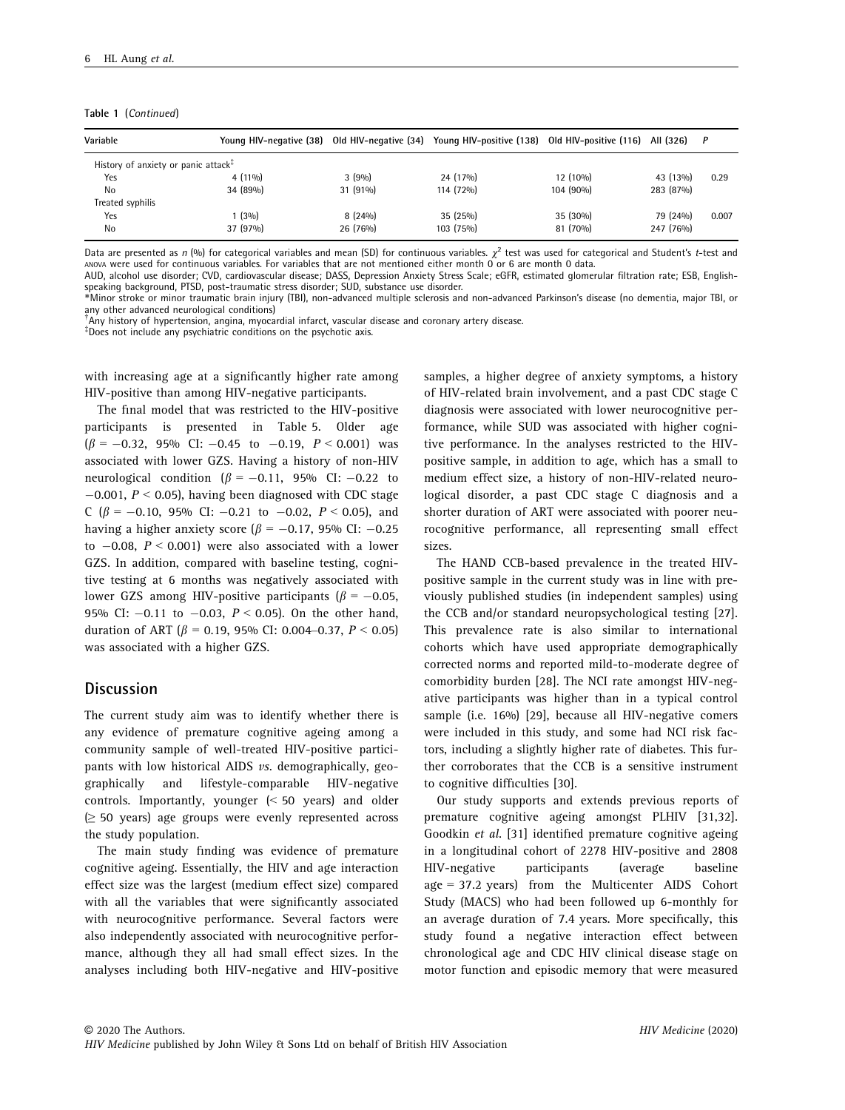Table 1 (Continued)

| Variable                                                            |           |            | Young HIV-negative (38) Old HIV-negative (34) Young HIV-positive (138) Old HIV-positive (116) |           | All (326) | $\overline{P}$ |
|---------------------------------------------------------------------|-----------|------------|-----------------------------------------------------------------------------------------------|-----------|-----------|----------------|
| History of anxiety or panic attack <sup><math>\ddagger</math></sup> |           |            |                                                                                               |           |           |                |
| Yes                                                                 | $4(11\%)$ | 3(9%)      | 24 (17%)                                                                                      | 12 (10%)  | 43 (13%)  | 0.29           |
| No                                                                  | 34 (89%)  | $31(91\%)$ | 114 (72%)                                                                                     | 104 (90%) | 283 (87%) |                |
| Treated syphilis                                                    |           |            |                                                                                               |           |           |                |
| Yes                                                                 | (3%)      | $8(24\%)$  | 35(25%)                                                                                       | 35 (30%)  | 79 (24%)  | 0.007          |
| No                                                                  | 37 (97%)  | 26 (76%)   | 103 (75%)                                                                                     | 81 (70%)  | 247 (76%) |                |

Data are presented as n (%) for categorical variables and mean (SD) for continuous variables.  $\gamma^2$  test was used for categorical and Student's t-test and ANOVA were used for continuous variables. For variables that are not mentioned either month 0 or 6 are month 0 data. AUD, alcohol use disorder; CVD, cardiovascular disease; DASS, Depression Anxiety Stress Scale; eGFR, estimated glomerular filtration rate; ESB, English-

speaking background, PTSD, post-traumatic stress disorder; SUD, substance use disorder.

\*Minor stroke or minor traumatic brain injury (TBI), non-advanced multiple sclerosis and non-advanced Parkinson's disease (no dementia, major TBI, or any other advanced neurological conditions)

† Any history of hypertension, angina, myocardial infarct, vascular disease and coronary artery disease.

‡ Does not include any psychiatric conditions on the psychotic axis.

with increasing age at a significantly higher rate among HIV-positive than among HIV-negative participants.

The final model that was restricted to the HIV-positive participants is presented in Table 5. Older age  $(\beta = -0.32, 95\% \text{ CI: } -0.45 \text{ to } -0.19, P < 0.001)$  was associated with lower GZS. Having a history of non-HIV neurological condition ( $\beta = -0.11$ , 95% CI: -0.22 to  $-0.001$ ,  $P < 0.05$ ), having been diagnosed with CDC stage C ( $\beta$  = -0.10, 95% CI: -0.21 to -0.02, P < 0.05), and having a higher anxiety score ( $\beta = -0.17$ , 95% CI: -0.25 to  $-0.08$ ,  $P < 0.001$ ) were also associated with a lower GZS. In addition, compared with baseline testing, cognitive testing at 6 months was negatively associated with lower GZS among HIV-positive participants ( $\beta = -0.05$ , 95% CI:  $-0.11$  to  $-0.03$ ,  $P < 0.05$ ). On the other hand, duration of ART ( $\beta$  = 0.19, 95% CI: 0.004–0.37, P < 0.05) was associated with a higher GZS.

## **Discussion**

The current study aim was to identify whether there is any evidence of premature cognitive ageing among a community sample of well-treated HIV-positive participants with low historical AIDS vs. demographically, geographically and lifestyle-comparable HIV-negative controls. Importantly, younger (< 50 years) and older (≥ 50 years) age groups were evenly represented across the study population.

The main study finding was evidence of premature cognitive ageing. Essentially, the HIV and age interaction effect size was the largest (medium effect size) compared with all the variables that were significantly associated with neurocognitive performance. Several factors were also independently associated with neurocognitive performance, although they all had small effect sizes. In the analyses including both HIV-negative and HIV-positive

samples, a higher degree of anxiety symptoms, a history of HIV-related brain involvement, and a past CDC stage C diagnosis were associated with lower neurocognitive performance, while SUD was associated with higher cognitive performance. In the analyses restricted to the HIVpositive sample, in addition to age, which has a small to medium effect size, a history of non-HIV-related neurological disorder, a past CDC stage C diagnosis and a shorter duration of ART were associated with poorer neurocognitive performance, all representing small effect sizes.

The HAND CCB-based prevalence in the treated HIVpositive sample in the current study was in line with previously published studies (in independent samples) using the CCB and/or standard neuropsychological testing [27]. This prevalence rate is also similar to international cohorts which have used appropriate demographically corrected norms and reported mild-to-moderate degree of comorbidity burden [28]. The NCI rate amongst HIV-negative participants was higher than in a typical control sample (i.e. 16%) [29], because all HIV-negative comers were included in this study, and some had NCI risk factors, including a slightly higher rate of diabetes. This further corroborates that the CCB is a sensitive instrument to cognitive difficulties [30].

Our study supports and extends previous reports of premature cognitive ageing amongst PLHIV [31,32]. Goodkin et al. [31] identified premature cognitive ageing in a longitudinal cohort of 2278 HIV-positive and 2808 HIV-negative participants (average baseline age = 37.2 years) from the Multicenter AIDS Cohort Study (MACS) who had been followed up 6-monthly for an average duration of 7.4 years. More specifically, this study found a negative interaction effect between chronological age and CDC HIV clinical disease stage on motor function and episodic memory that were measured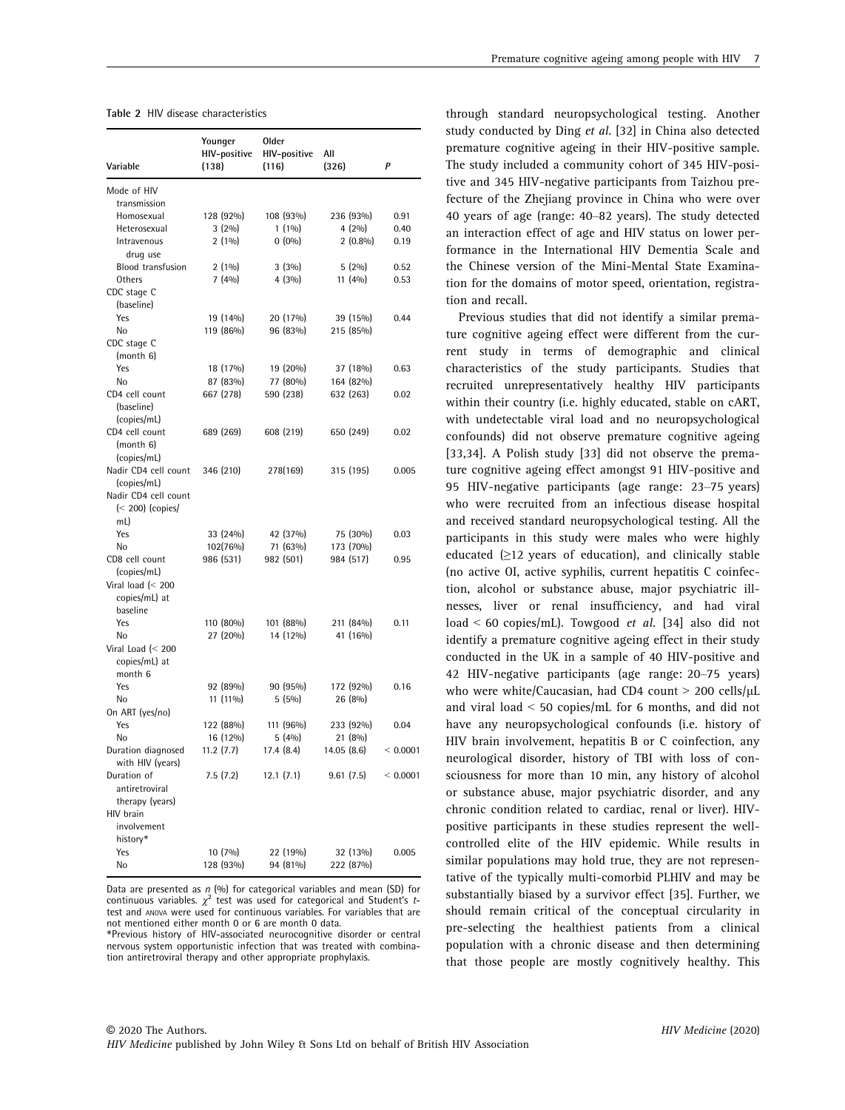| Variable                | Younger<br>HIV-positive<br>(138) | <b>Older</b><br>HIV-positive<br>(116) | All<br>(326) | P        |
|-------------------------|----------------------------------|---------------------------------------|--------------|----------|
|                         |                                  |                                       |              |          |
| Mode of HIV             |                                  |                                       |              |          |
| transmission            |                                  |                                       |              |          |
| Homosexual              | 128 (92%)                        | 108 (93%)                             | 236 (93%)    | 0.91     |
| Heterosexual            | 3(2%)                            | $1(1\%)$                              | 4(2%)        | 0.40     |
| Intravenous             | 2(1%)                            | $0(0\%)$                              | $2(0.8\%)$   | 0.19     |
| drug use                |                                  |                                       |              |          |
| Blood transfusion       | 2(1%)                            | 3(3%)                                 | 5(2%)        | 0.52     |
| Others                  | 7(4%)                            | 4(3%)                                 | 11 (4%)      | 0.53     |
| CDC stage C             |                                  |                                       |              |          |
| (baseline)              |                                  |                                       |              |          |
| Yes                     | 19 (14%)                         | 20 (17%)                              | 39 (15%)     | 0.44     |
| No                      | 119 (86%)                        | 96 (83%)                              | 215 (85%)    |          |
| CDC stage C             |                                  |                                       |              |          |
| (month 6)               |                                  |                                       |              |          |
| Yes                     | 18 (17%)                         | 19 (20%)                              | 37 (18%)     | 0.63     |
| No                      | 87 (83%)                         | 77 (80%)                              | 164 (82%)    |          |
| CD4 cell count          | 667 (278)                        | 590 (238)                             | 632 (263)    | 0.02     |
| (baseline)              |                                  |                                       |              |          |
| (copies/mL)             |                                  |                                       |              |          |
| CD4 cell count          | 689 (269)                        | 608 (219)                             | 650 (249)    | 0.02     |
| (month 6)               |                                  |                                       |              |          |
| (copies/mL)             |                                  |                                       |              |          |
| Nadir CD4 cell count    | 346 (210)                        | 278(169)                              | 315 (195)    | 0.005    |
| (copies/mL)             |                                  |                                       |              |          |
| Nadir CD4 cell count    |                                  |                                       |              |          |
| $\approx$ 200) (copies/ |                                  |                                       |              |          |
| mL)                     |                                  |                                       |              |          |
| Yes                     | 33 (24%)                         | 42 (37%)                              | 75 (30%)     | 0.03     |
| No                      | 102(76%)                         | 71 (63%)                              | 173 (70%)    |          |
| CD8 cell count          | 986 (531)                        | 982 (501)                             | 984 (517)    | 0.95     |
| (copies/mL)             |                                  |                                       |              |          |
| Viral load $(< 200$     |                                  |                                       |              |          |
| copies/mL) at           |                                  |                                       |              |          |
| baseline                |                                  |                                       |              |          |
| Yes                     | 110 (80%)                        | 101 (88%)                             | 211 (84%)    | 0.11     |
| No                      | 27 (20%)                         | 14 (12%)                              | 41 (16%)     |          |
| Viral Load (< 200       |                                  |                                       |              |          |
| copies/mL) at           |                                  |                                       |              |          |
| month 6                 |                                  |                                       |              |          |
| Yes                     | 92 (89%)                         | 90 (95%)                              | 172 (92%)    | 0.16     |
| No                      | 11 (11%)                         | $5(5\%)$                              | 26 (8%)      |          |
| On ART (yes/no)         |                                  |                                       |              |          |
| Yes                     | 122 (88%)                        | 111 (96%)                             | 233 (92%)    | 0.04     |
| No                      | 16 (12%)                         | 5(4%)                                 | 21 (8%)      |          |
| Duration diagnosed      | 11.2(7.7)                        | 17.4(8.4)                             | 14.05(8.6)   | < 0.0001 |
| with HIV (years)        |                                  |                                       |              |          |
| Duration of             | 7.5 (7.2)                        | 12.1(7.1)                             | 9.61(7.5)    | < 0.0001 |
| antiretroviral          |                                  |                                       |              |          |
| therapy (years)         |                                  |                                       |              |          |
| HIV brain               |                                  |                                       |              |          |
| involvement             |                                  |                                       |              |          |
| history*                |                                  |                                       |              |          |
| Yes                     | $10(7\%)$                        | 22 (19%)                              | 32 (13%)     | 0.005    |
| No                      | 128 (93%)                        | 94 (81%)                              | 222 (87%)    |          |

Data are presented as n (%) for categorical variables and mean (SD) for<br>continuous variables.  $\chi^2$  test was used for categorical and Student's ttest and ANOVA were used for continuous variables. For variables that are not mentioned either month 0 or 6 are month 0 data.

\*Previous history of HIV-associated neurocognitive disorder or central nervous system opportunistic infection that was treated with combination antiretroviral therapy and other appropriate prophylaxis.

through standard neuropsychological testing. Another study conducted by Ding et al. [32] in China also detected premature cognitive ageing in their HIV-positive sample. The study included a community cohort of 345 HIV-positive and 345 HIV-negative participants from Taizhou prefecture of the Zhejiang province in China who were over 40 years of age (range: 40–82 years). The study detected an interaction effect of age and HIV status on lower performance in the International HIV Dementia Scale and the Chinese version of the Mini-Mental State Examination for the domains of motor speed, orientation, registration and recall.

Previous studies that did not identify a similar premature cognitive ageing effect were different from the current study in terms of demographic and clinical characteristics of the study participants. Studies that recruited unrepresentatively healthy HIV participants within their country (i.e. highly educated, stable on cART, with undetectable viral load and no neuropsychological confounds) did not observe premature cognitive ageing [33,34]. A Polish study [33] did not observe the premature cognitive ageing effect amongst 91 HIV-positive and 95 HIV-negative participants (age range: 23–75 years) who were recruited from an infectious disease hospital and received standard neuropsychological testing. All the participants in this study were males who were highly educated (≥12 years of education), and clinically stable (no active OI, active syphilis, current hepatitis C coinfection, alcohol or substance abuse, major psychiatric illnesses, liver or renal insufficiency, and had viral load < 60 copies/mL). Towgood et al. [34] also did not identify a premature cognitive ageing effect in their study conducted in the UK in a sample of 40 HIV-positive and 42 HIV-negative participants (age range: 20–75 years) who were white/Caucasian, had CD4 count  $>$  200 cells/ $\mu$ L and viral load < 50 copies/mL for 6 months, and did not have any neuropsychological confounds (i.e. history of HIV brain involvement, hepatitis B or C coinfection, any neurological disorder, history of TBI with loss of consciousness for more than 10 min, any history of alcohol or substance abuse, major psychiatric disorder, and any chronic condition related to cardiac, renal or liver). HIVpositive participants in these studies represent the wellcontrolled elite of the HIV epidemic. While results in similar populations may hold true, they are not representative of the typically multi-comorbid PLHIV and may be substantially biased by a survivor effect [35]. Further, we should remain critical of the conceptual circularity in pre-selecting the healthiest patients from a clinical population with a chronic disease and then determining that those people are mostly cognitively healthy. This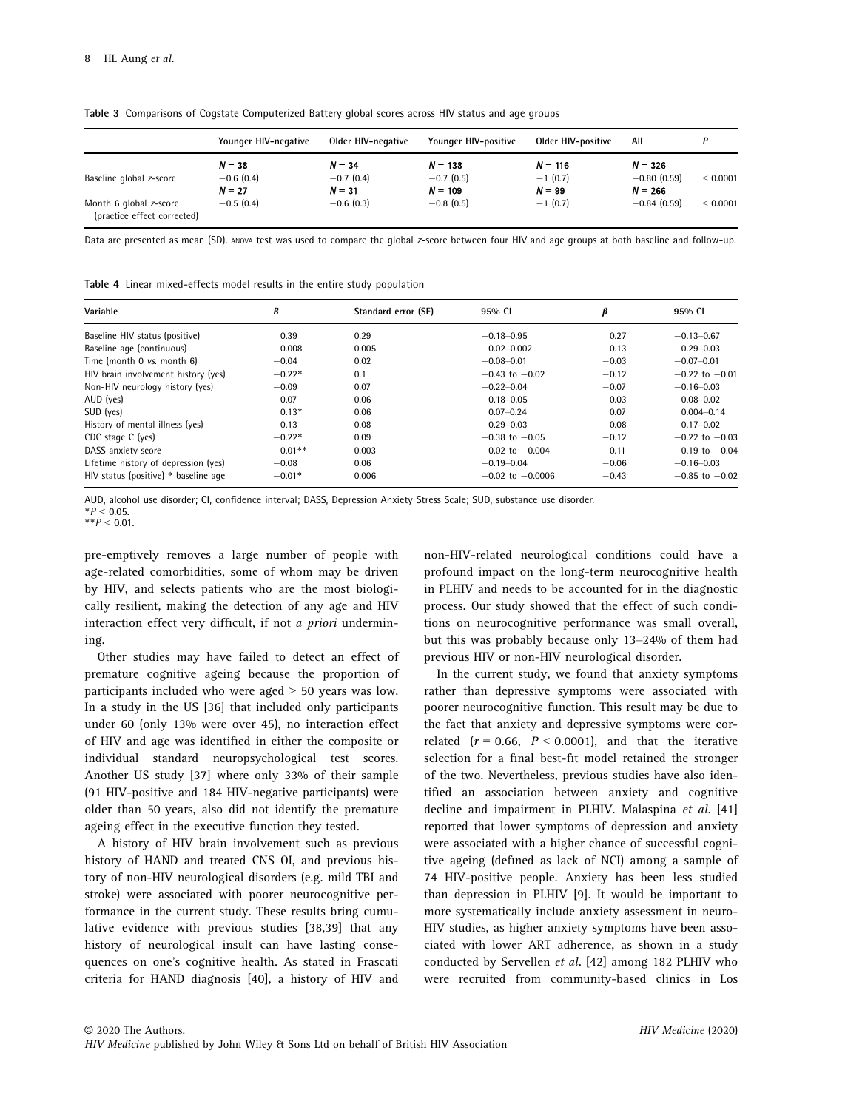|                             | Younger HIV-negative    | Older HIV-negative       | Younger HIV-positive      | Older HIV-positive    | All                        |              |
|-----------------------------|-------------------------|--------------------------|---------------------------|-----------------------|----------------------------|--------------|
|                             | $N = 38$                | $N = 34$                 | $N = 138$                 | $N = 116$             | $N = 326$                  |              |
| Baseline global z-score     | $-0.6(0.4)$             | $-0.7(0.4)$              | $-0.7(0.5)$               | $-1(0.7)$             | $-0.80(0.59)$              | ${}< 0.0001$ |
| Month 6 global z-score      | $N = 27$<br>$-0.5(0.4)$ | $N = 31$<br>$-0.6$ (0.3) | $N = 109$<br>$-0.8$ (0.5) | $N = 99$<br>$-1(0.7)$ | $N = 266$<br>$-0.84(0.59)$ | < 0.0001     |
| (practice effect corrected) |                         |                          |                           |                       |                            |              |

Table 3 Comparisons of Cogstate Computerized Battery global scores across HIV status and age groups

Data are presented as mean (SD). ANOVA test was used to compare the global <sup>z</sup>-score between four HIV and age groups at both baseline and follow-up.

|  |  | Table 4 Linear mixed-effects model results in the entire study population |  |  |  |  |  |  |
|--|--|---------------------------------------------------------------------------|--|--|--|--|--|--|
|--|--|---------------------------------------------------------------------------|--|--|--|--|--|--|

| Variable                             | B         | Standard error (SE) | 95% CI               |         | 95% CI             |
|--------------------------------------|-----------|---------------------|----------------------|---------|--------------------|
| Baseline HIV status (positive)       | 0.39      | 0.29                | $-0.18 - 0.95$       | 0.27    | $-0.13 - 0.67$     |
| Baseline age (continuous)            | $-0.008$  | 0.005               | $-0.02 - 0.002$      | $-0.13$ | $-0.29 - 0.03$     |
| Time (month 0 vs. month 6)           | $-0.04$   | 0.02                | $-0.08 - 0.01$       | $-0.03$ | $-0.07 - 0.01$     |
| HIV brain involvement history (yes)  | $-0.22*$  | 0.1                 | $-0.43$ to $-0.02$   | $-0.12$ | $-0.22$ to $-0.01$ |
| Non-HIV neurology history (yes)      | $-0.09$   | 0.07                | $-0.22 - 0.04$       | $-0.07$ | $-0.16 - 0.03$     |
| AUD (yes)                            | $-0.07$   | 0.06                | $-0.18 - 0.05$       | $-0.03$ | $-0.08 - 0.02$     |
| SUD (yes)                            | $0.13*$   | 0.06                | $0.07 - 0.24$        | 0.07    | $0.004 - 0.14$     |
| History of mental illness (yes)      | $-0.13$   | 0.08                | $-0.29 - 0.03$       | $-0.08$ | $-0.17 - 0.02$     |
| CDC stage C (yes)                    | $-0.22*$  | 0.09                | $-0.38$ to $-0.05$   | $-0.12$ | $-0.22$ to $-0.03$ |
| DASS anxiety score                   | $-0.01**$ | 0.003               | $-0.02$ to $-0.004$  | $-0.11$ | $-0.19$ to $-0.04$ |
| Lifetime history of depression (yes) | $-0.08$   | 0.06                | $-0.19 - 0.04$       | $-0.06$ | $-0.16 - 0.03$     |
| HIV status (positive) * baseline age | $-0.01*$  | 0.006               | $-0.02$ to $-0.0006$ | $-0.43$ | $-0.85$ to $-0.02$ |

AUD, alcohol use disorder; CI, confidence interval; DASS, Depression Anxiety Stress Scale; SUD, substance use disorder.

 $*P < 0.05$ .  $*$  $P < 0.01$ .

pre-emptively removes a large number of people with age-related comorbidities, some of whom may be driven by HIV, and selects patients who are the most biologically resilient, making the detection of any age and HIV interaction effect very difficult, if not a priori undermining.

Other studies may have failed to detect an effect of premature cognitive ageing because the proportion of participants included who were aged > 50 years was low. In a study in the US [36] that included only participants under 60 (only 13% were over 45), no interaction effect of HIV and age was identified in either the composite or individual standard neuropsychological test scores. Another US study [37] where only 33% of their sample (91 HIV-positive and 184 HIV-negative participants) were older than 50 years, also did not identify the premature ageing effect in the executive function they tested.

A history of HIV brain involvement such as previous history of HAND and treated CNS OI, and previous history of non-HIV neurological disorders (e.g. mild TBI and stroke) were associated with poorer neurocognitive performance in the current study. These results bring cumulative evidence with previous studies [38,39] that any history of neurological insult can have lasting consequences on one's cognitive health. As stated in Frascati criteria for HAND diagnosis [40], a history of HIV and

non-HIV-related neurological conditions could have a profound impact on the long-term neurocognitive health in PLHIV and needs to be accounted for in the diagnostic process. Our study showed that the effect of such conditions on neurocognitive performance was small overall, but this was probably because only 13–24% of them had previous HIV or non-HIV neurological disorder.

In the current study, we found that anxiety symptoms rather than depressive symptoms were associated with poorer neurocognitive function. This result may be due to the fact that anxiety and depressive symptoms were correlated  $(r = 0.66, P < 0.0001)$ , and that the iterative selection for a final best-fit model retained the stronger of the two. Nevertheless, previous studies have also identified an association between anxiety and cognitive decline and impairment in PLHIV. Malaspina et al. [41] reported that lower symptoms of depression and anxiety were associated with a higher chance of successful cognitive ageing (defined as lack of NCI) among a sample of 74 HIV-positive people. Anxiety has been less studied than depression in PLHIV [9]. It would be important to more systematically include anxiety assessment in neuro-HIV studies, as higher anxiety symptoms have been associated with lower ART adherence, as shown in a study conducted by Servellen et al. [42] among 182 PLHIV who were recruited from community-based clinics in Los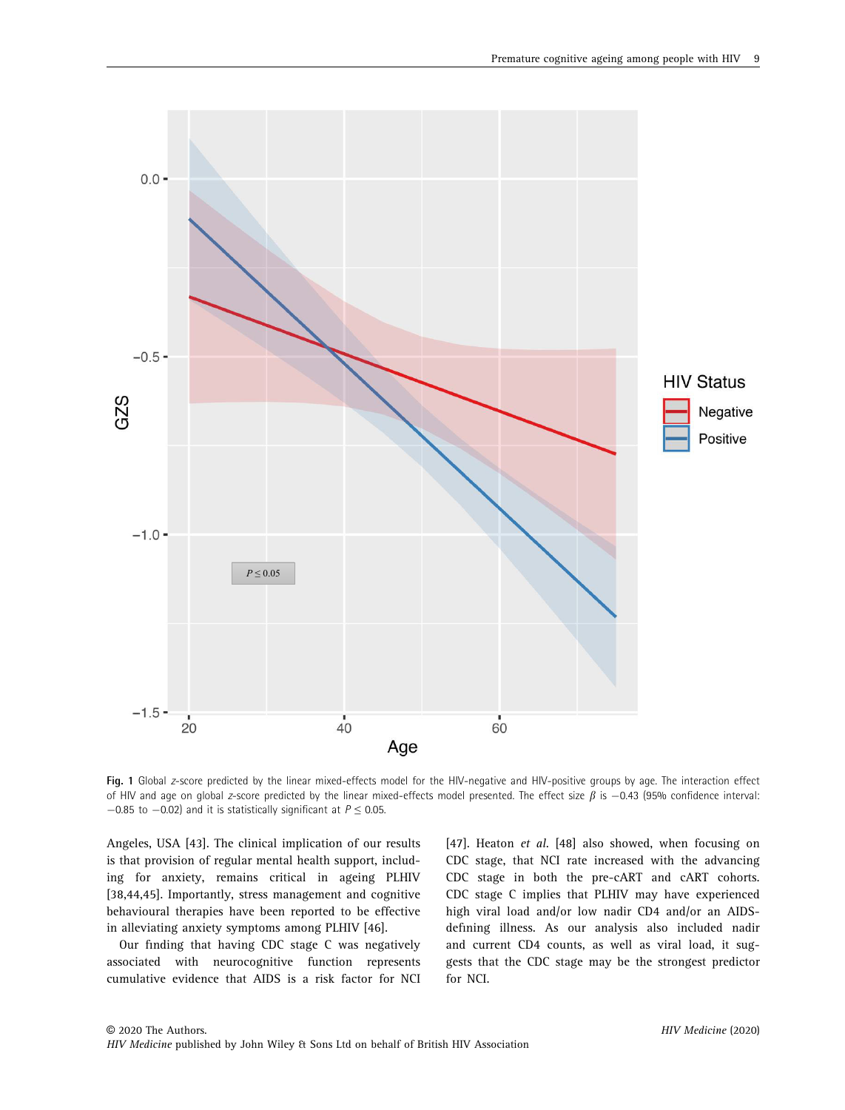

Fig. 1 Global z-score predicted by the linear mixed-effects model for the HIV-negative and HIV-positive groups by age. The interaction effect of HIV and age on global z-score predicted by the linear mixed-effects model presented. The effect size  $\beta$  is  $-0.43$  (95% confidence interval:  $-0.85$  to  $-0.02$ ) and it is statistically significant at  $P \le 0.05$ .

Angeles, USA [43]. The clinical implication of our results is that provision of regular mental health support, including for anxiety, remains critical in ageing PLHIV [38,44,45]. Importantly, stress management and cognitive behavioural therapies have been reported to be effective in alleviating anxiety symptoms among PLHIV [46].

Our finding that having CDC stage C was negatively associated with neurocognitive function represents cumulative evidence that AIDS is a risk factor for NCI [47]. Heaton et al. [48] also showed, when focusing on CDC stage, that NCI rate increased with the advancing CDC stage in both the pre-cART and cART cohorts. CDC stage C implies that PLHIV may have experienced high viral load and/or low nadir CD4 and/or an AIDSdefining illness. As our analysis also included nadir and current CD4 counts, as well as viral load, it suggests that the CDC stage may be the strongest predictor for NCI.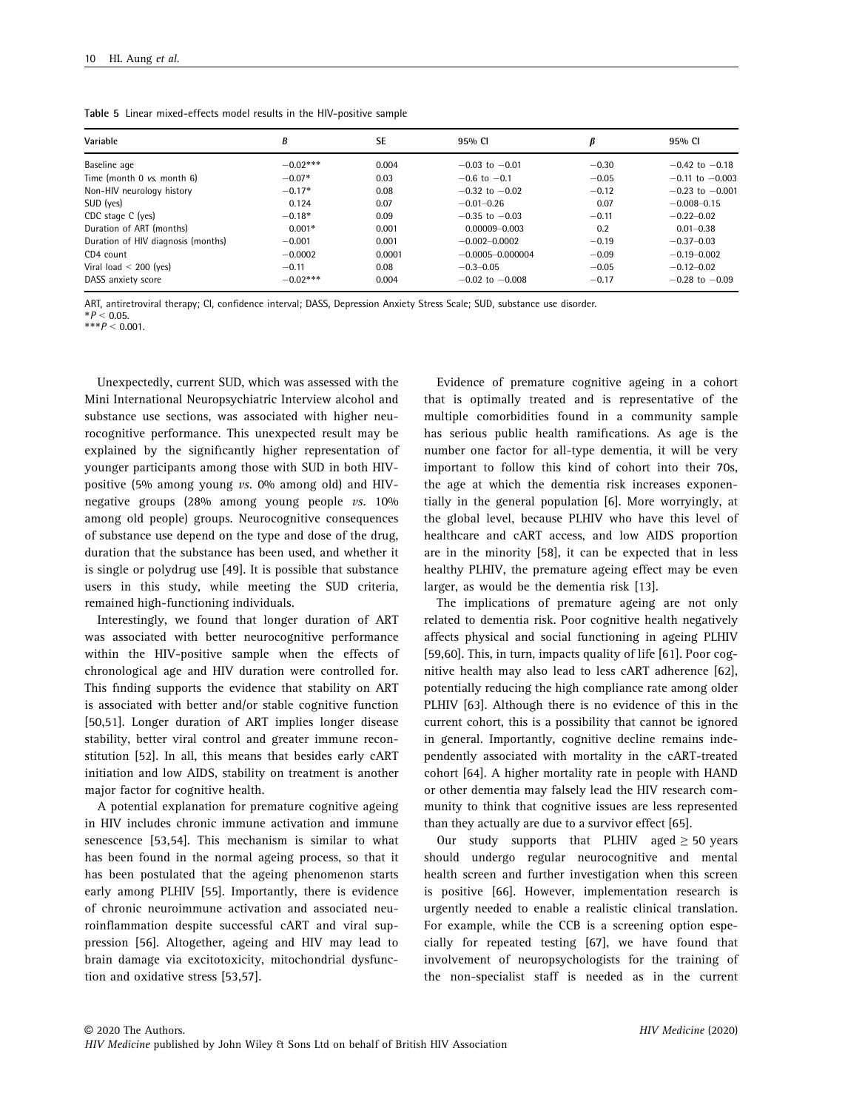|  |  | Table 5 Linear mixed-effects model results in the HIV-positive sample |  |  |  |  |  |  |
|--|--|-----------------------------------------------------------------------|--|--|--|--|--|--|
|--|--|-----------------------------------------------------------------------|--|--|--|--|--|--|

| Variable                           | B          | <b>SE</b> | 95% CI               | β       | 95% CI              |
|------------------------------------|------------|-----------|----------------------|---------|---------------------|
| Baseline age                       | $-0.02***$ | 0.004     | $-0.03$ to $-0.01$   | $-0.30$ | $-0.42$ to $-0.18$  |
| Time (month 0 vs. month 6)         | $-0.07*$   | 0.03      | $-0.6$ to $-0.1$     | $-0.05$ | $-0.11$ to $-0.003$ |
| Non-HIV neurology history          | $-0.17*$   | 0.08      | $-0.32$ to $-0.02$   | $-0.12$ | $-0.23$ to $-0.001$ |
| SUD (yes)                          | 0.124      | 0.07      | $-0.01 - 0.26$       | 0.07    | $-0.008 - 0.15$     |
| CDC stage C (yes)                  | $-0.18*$   | 0.09      | $-0.35$ to $-0.03$   | $-0.11$ | $-0.22 - 0.02$      |
| Duration of ART (months)           | $0.001*$   | 0.001     | $0.00009 - 0.003$    | 0.2     | $0.01 - 0.38$       |
| Duration of HIV diagnosis (months) | $-0.001$   | 0.001     | $-0.002 - 0.0002$    | $-0.19$ | $-0.37 - 0.03$      |
| CD4 count                          | $-0.0002$  | 0.0001    | $-0.0005 - 0.000004$ | $-0.09$ | $-0.19 - 0.002$     |
| Viral load $<$ 200 (yes)           | $-0.11$    | 0.08      | $-0.3 - 0.05$        | $-0.05$ | $-0.12 - 0.02$      |
| DASS anxiety score                 | $-0.02***$ | 0.004     | $-0.02$ to $-0.008$  | $-0.17$ | $-0.28$ to $-0.09$  |

ART, antiretroviral therapy; CI, confidence interval; DASS, Depression Anxiety Stress Scale; SUD, substance use disorder.  $*P < 0.05$ .

\*\*\* $P < 0.001$ .

Unexpectedly, current SUD, which was assessed with the Mini International Neuropsychiatric Interview alcohol and substance use sections, was associated with higher neurocognitive performance. This unexpected result may be explained by the significantly higher representation of younger participants among those with SUD in both HIVpositive (5% among young  $vs.$  0% among old) and HIVnegative groups (28% among young people vs. 10% among old people) groups. Neurocognitive consequences of substance use depend on the type and dose of the drug, duration that the substance has been used, and whether it is single or polydrug use [49]. It is possible that substance users in this study, while meeting the SUD criteria, remained high-functioning individuals.

Interestingly, we found that longer duration of ART was associated with better neurocognitive performance within the HIV-positive sample when the effects of chronological age and HIV duration were controlled for. This finding supports the evidence that stability on ART is associated with better and/or stable cognitive function [50,51]. Longer duration of ART implies longer disease stability, better viral control and greater immune reconstitution [52]. In all, this means that besides early cART initiation and low AIDS, stability on treatment is another major factor for cognitive health.

A potential explanation for premature cognitive ageing in HIV includes chronic immune activation and immune senescence [53,54]. This mechanism is similar to what has been found in the normal ageing process, so that it has been postulated that the ageing phenomenon starts early among PLHIV [55]. Importantly, there is evidence of chronic neuroimmune activation and associated neuroinflammation despite successful cART and viral suppression [56]. Altogether, ageing and HIV may lead to brain damage via excitotoxicity, mitochondrial dysfunction and oxidative stress [53,57].

Evidence of premature cognitive ageing in a cohort that is optimally treated and is representative of the multiple comorbidities found in a community sample has serious public health ramifications. As age is the number one factor for all-type dementia, it will be very important to follow this kind of cohort into their 70s, the age at which the dementia risk increases exponentially in the general population [6]. More worryingly, at the global level, because PLHIV who have this level of healthcare and cART access, and low AIDS proportion are in the minority [58], it can be expected that in less healthy PLHIV, the premature ageing effect may be even larger, as would be the dementia risk [13].

The implications of premature ageing are not only related to dementia risk. Poor cognitive health negatively affects physical and social functioning in ageing PLHIV [59,60]. This, in turn, impacts quality of life [61]. Poor cognitive health may also lead to less cART adherence [62], potentially reducing the high compliance rate among older PLHIV [63]. Although there is no evidence of this in the current cohort, this is a possibility that cannot be ignored in general. Importantly, cognitive decline remains independently associated with mortality in the cART-treated cohort [64]. A higher mortality rate in people with HAND or other dementia may falsely lead the HIV research community to think that cognitive issues are less represented than they actually are due to a survivor effect [65].

Our study supports that PLHIV aged  $\geq$  50 years should undergo regular neurocognitive and mental health screen and further investigation when this screen is positive [66]. However, implementation research is urgently needed to enable a realistic clinical translation. For example, while the CCB is a screening option especially for repeated testing [67], we have found that involvement of neuropsychologists for the training of the non-specialist staff is needed as in the current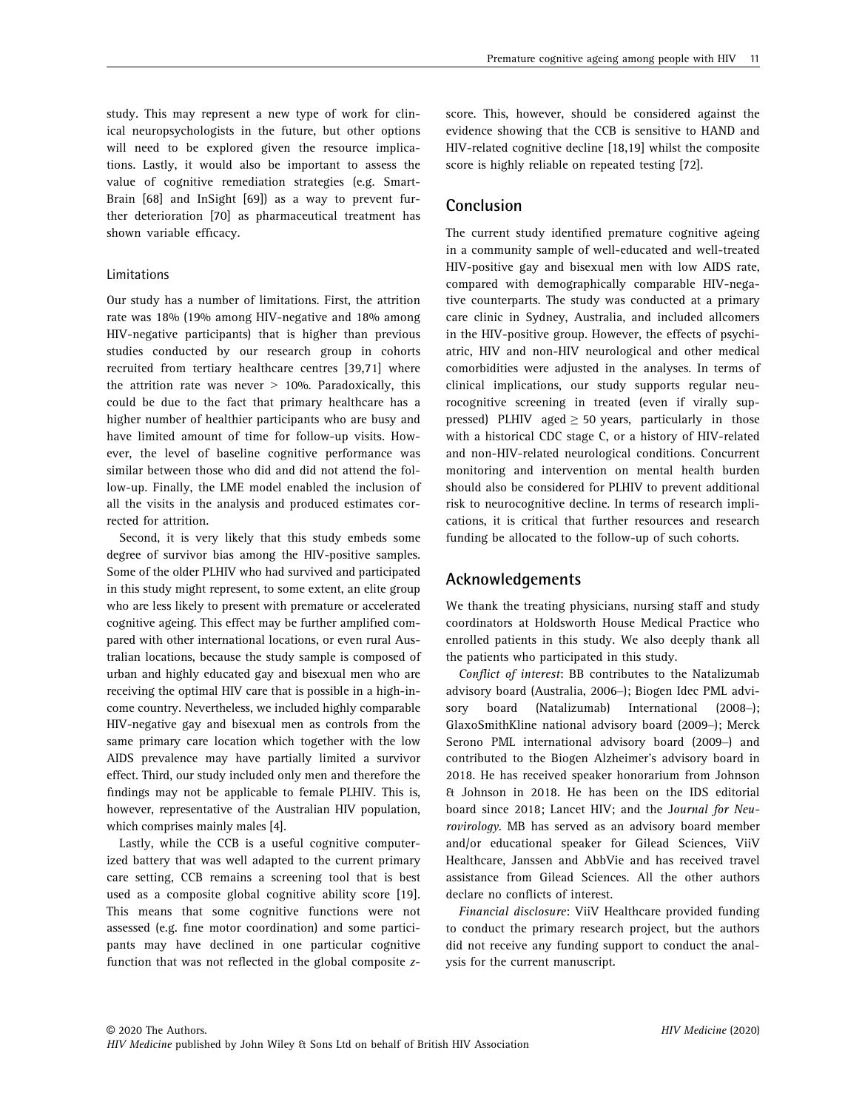study. This may represent a new type of work for clinical neuropsychologists in the future, but other options will need to be explored given the resource implications. Lastly, it would also be important to assess the value of cognitive remediation strategies (e.g. Smart-Brain [68] and InSight [69]) as a way to prevent further deterioration [70] as pharmaceutical treatment has shown variable efficacy.

#### Limitations

Our study has a number of limitations. First, the attrition rate was 18% (19% among HIV-negative and 18% among HIV-negative participants) that is higher than previous studies conducted by our research group in cohorts recruited from tertiary healthcare centres [39,71] where the attrition rate was never  $> 10\%$ . Paradoxically, this could be due to the fact that primary healthcare has a higher number of healthier participants who are busy and have limited amount of time for follow-up visits. However, the level of baseline cognitive performance was similar between those who did and did not attend the follow-up. Finally, the LME model enabled the inclusion of all the visits in the analysis and produced estimates corrected for attrition.

Second, it is very likely that this study embeds some degree of survivor bias among the HIV-positive samples. Some of the older PLHIV who had survived and participated in this study might represent, to some extent, an elite group who are less likely to present with premature or accelerated cognitive ageing. This effect may be further amplified compared with other international locations, or even rural Australian locations, because the study sample is composed of urban and highly educated gay and bisexual men who are receiving the optimal HIV care that is possible in a high-income country. Nevertheless, we included highly comparable HIV-negative gay and bisexual men as controls from the same primary care location which together with the low AIDS prevalence may have partially limited a survivor effect. Third, our study included only men and therefore the findings may not be applicable to female PLHIV. This is, however, representative of the Australian HIV population, which comprises mainly males [4].

Lastly, while the CCB is a useful cognitive computerized battery that was well adapted to the current primary care setting, CCB remains a screening tool that is best used as a composite global cognitive ability score [19]. This means that some cognitive functions were not assessed (e.g. fine motor coordination) and some participants may have declined in one particular cognitive function that was not reflected in the global composite zscore. This, however, should be considered against the evidence showing that the CCB is sensitive to HAND and HIV-related cognitive decline [18,19] whilst the composite score is highly reliable on repeated testing [72].

## Conclusion

The current study identified premature cognitive ageing in a community sample of well-educated and well-treated HIV-positive gay and bisexual men with low AIDS rate, compared with demographically comparable HIV-negative counterparts. The study was conducted at a primary care clinic in Sydney, Australia, and included allcomers in the HIV-positive group. However, the effects of psychiatric, HIV and non-HIV neurological and other medical comorbidities were adjusted in the analyses. In terms of clinical implications, our study supports regular neurocognitive screening in treated (even if virally suppressed) PLHIV aged  $\geq$  50 years, particularly in those with a historical CDC stage C, or a history of HIV-related and non-HIV-related neurological conditions. Concurrent monitoring and intervention on mental health burden should also be considered for PLHIV to prevent additional risk to neurocognitive decline. In terms of research implications, it is critical that further resources and research funding be allocated to the follow-up of such cohorts.

# Acknowledgements

We thank the treating physicians, nursing staff and study coordinators at Holdsworth House Medical Practice who enrolled patients in this study. We also deeply thank all the patients who participated in this study.

Conflict of interest: BB contributes to the Natalizumab advisory board (Australia, 2006–); Biogen Idec PML advisory board (Natalizumab) International (2008–); GlaxoSmithKline national advisory board (2009–); Merck Serono PML international advisory board (2009–) and contributed to the Biogen Alzheimer's advisory board in 2018. He has received speaker honorarium from Johnson & Johnson in 2018. He has been on the IDS editorial board since 2018; Lancet HIV; and the Journal for Neurovirology. MB has served as an advisory board member and/or educational speaker for Gilead Sciences, ViiV Healthcare, Janssen and AbbVie and has received travel assistance from Gilead Sciences. All the other authors declare no conflicts of interest.

Financial disclosure: ViiV Healthcare provided funding to conduct the primary research project, but the authors did not receive any funding support to conduct the analysis for the current manuscript.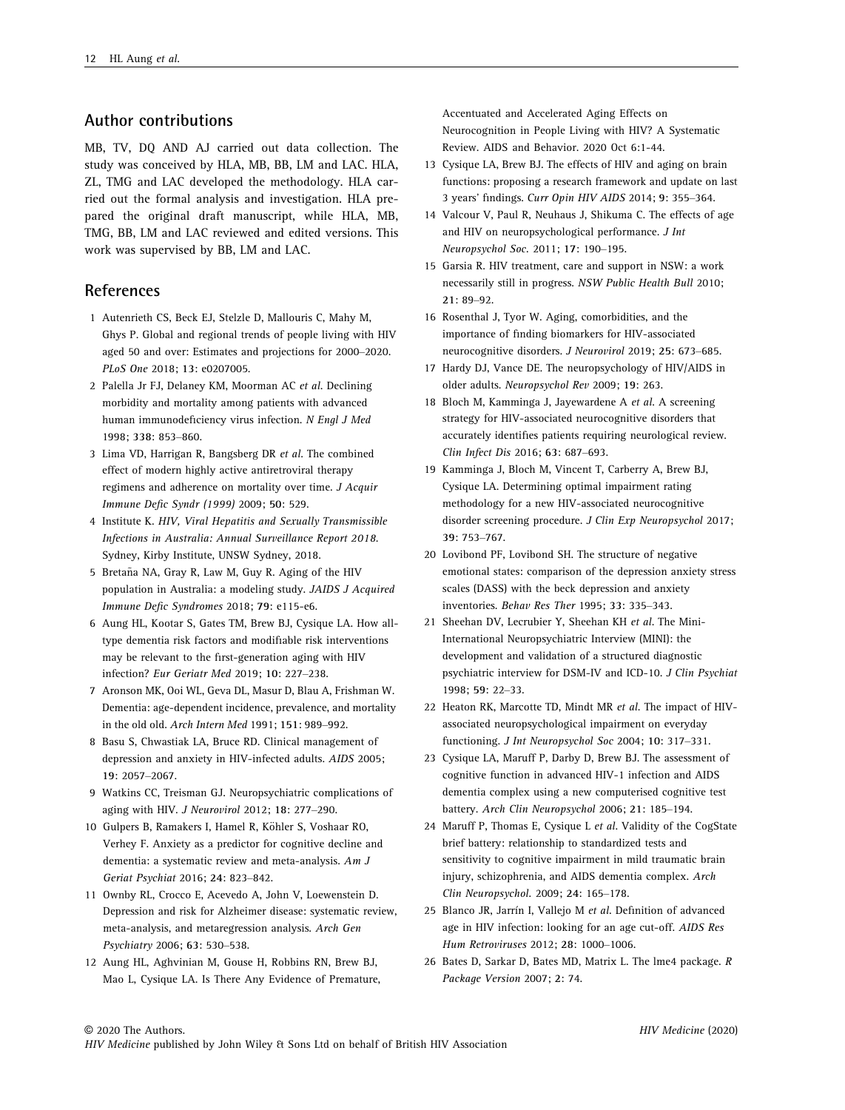# Author contributions

MB, TV, DQ AND AJ carried out data collection. The study was conceived by HLA, MB, BB, LM and LAC. HLA, ZL, TMG and LAC developed the methodology. HLA carried out the formal analysis and investigation. HLA prepared the original draft manuscript, while HLA, MB, TMG, BB, LM and LAC reviewed and edited versions. This work was supervised by BB, LM and LAC.

# **References**

- 1 Autenrieth CS, Beck EJ, Stelzle D, Mallouris C, Mahy M, Ghys P. Global and regional trends of people living with HIV aged 50 and over: Estimates and projections for 2000–2020. PLoS One 2018; 13: e0207005.
- 2 Palella Jr FJ, Delaney KM, Moorman AC et al. Declining morbidity and mortality among patients with advanced human immunodeficiency virus infection. N Engl J Med 1998; 338: 853–860.
- 3 Lima VD, Harrigan R, Bangsberg DR et al. The combined effect of modern highly active antiretroviral therapy regimens and adherence on mortality over time. J Acquir Immune Defic Syndr (1999) 2009; 50: 529.
- 4 Institute K. HIV, Viral Hepatitis and Sexually Transmissible Infections in Australia: Annual Surveillance Report 2018. Sydney, Kirby Institute, UNSW Sydney, 2018.
- 5 Bretaña NA, Gray R, Law M, Guy R. Aging of the HIV population in Australia: a modeling study. JAIDS J Acquired Immune Defic Syndromes 2018; 79: e115-e6.
- 6 Aung HL, Kootar S, Gates TM, Brew BJ, Cysique LA. How alltype dementia risk factors and modifiable risk interventions may be relevant to the first-generation aging with HIV infection? Eur Geriatr Med 2019; 10: 227–238.
- 7 Aronson MK, Ooi WL, Geva DL, Masur D, Blau A, Frishman W. Dementia: age-dependent incidence, prevalence, and mortality in the old old. Arch Intern Med 1991; 151: 989–992.
- 8 Basu S, Chwastiak LA, Bruce RD. Clinical management of depression and anxiety in HIV-infected adults. AIDS 2005; 19: 2057–2067.
- 9 Watkins CC, Treisman GJ. Neuropsychiatric complications of aging with HIV. J Neurovirol 2012; 18: 277–290.
- 10 Gulpers B, Ramakers I, Hamel R, Köhler S, Voshaar RO, Verhey F. Anxiety as a predictor for cognitive decline and dementia: a systematic review and meta-analysis. Am J Geriat Psychiat 2016; 24: 823–842.
- 11 Ownby RL, Crocco E, Acevedo A, John V, Loewenstein D. Depression and risk for Alzheimer disease: systematic review, meta-analysis, and metaregression analysis. Arch Gen Psychiatry 2006; 63: 530–538.
- 12 Aung HL, Aghvinian M, Gouse H, Robbins RN, Brew BJ, Mao L, Cysique LA. Is There Any Evidence of Premature,

Accentuated and Accelerated Aging Effects on Neurocognition in People Living with HIV? A Systematic Review. AIDS and Behavior. 2020 Oct 6:1-44.

- 13 Cysique LA, Brew BJ. The effects of HIV and aging on brain functions: proposing a research framework and update on last 3 years' findings. Curr Opin HIV AIDS 2014; 9: 355–364.
- 14 Valcour V, Paul R, Neuhaus J, Shikuma C. The effects of age and HIV on neuropsychological performance. J Int Neuropsychol Soc. 2011; 17: 190–195.
- 15 Garsia R. HIV treatment, care and support in NSW: a work necessarily still in progress. NSW Public Health Bull 2010; 21: 89–92.
- 16 Rosenthal J, Tyor W. Aging, comorbidities, and the importance of finding biomarkers for HIV-associated neurocognitive disorders. J Neurovirol 2019; 25: 673–685.
- 17 Hardy DJ, Vance DE. The neuropsychology of HIV/AIDS in older adults. Neuropsychol Rev 2009; 19: 263.
- 18 Bloch M, Kamminga J, Jayewardene A et al. A screening strategy for HIV-associated neurocognitive disorders that accurately identifies patients requiring neurological review. Clin Infect Dis 2016; 63: 687–693.
- 19 Kamminga J, Bloch M, Vincent T, Carberry A, Brew BJ, Cysique LA. Determining optimal impairment rating methodology for a new HIV-associated neurocognitive disorder screening procedure. J Clin Exp Neuropsychol 2017; 39: 753–767.
- 20 Lovibond PF, Lovibond SH. The structure of negative emotional states: comparison of the depression anxiety stress scales (DASS) with the beck depression and anxiety inventories. Behav Res Ther 1995; 33: 335–343.
- 21 Sheehan DV, Lecrubier Y, Sheehan KH et al. The Mini-International Neuropsychiatric Interview (MINI): the development and validation of a structured diagnostic psychiatric interview for DSM-IV and ICD-10. J Clin Psychiat 1998; 59: 22–33.
- 22 Heaton RK, Marcotte TD, Mindt MR et al. The impact of HIVassociated neuropsychological impairment on everyday functioning. J Int Neuropsychol Soc 2004; 10: 317–331.
- 23 Cysique LA, Maruff P, Darby D, Brew BJ. The assessment of cognitive function in advanced HIV-1 infection and AIDS dementia complex using a new computerised cognitive test battery. Arch Clin Neuropsychol 2006; 21: 185–194.
- 24 Maruff P, Thomas E, Cysique L et al. Validity of the CogState brief battery: relationship to standardized tests and sensitivity to cognitive impairment in mild traumatic brain injury, schizophrenia, and AIDS dementia complex. Arch Clin Neuropsychol. 2009; 24: 165–178.
- 25 Blanco JR, Jarrín I, Vallejo M et al. Definition of advanced age in HIV infection: looking for an age cut-off. AIDS Res Hum Retroviruses 2012; 28: 1000–1006.
- 26 Bates D, Sarkar D, Bates MD, Matrix L. The lme4 package. R Package Version 2007; 2: 74.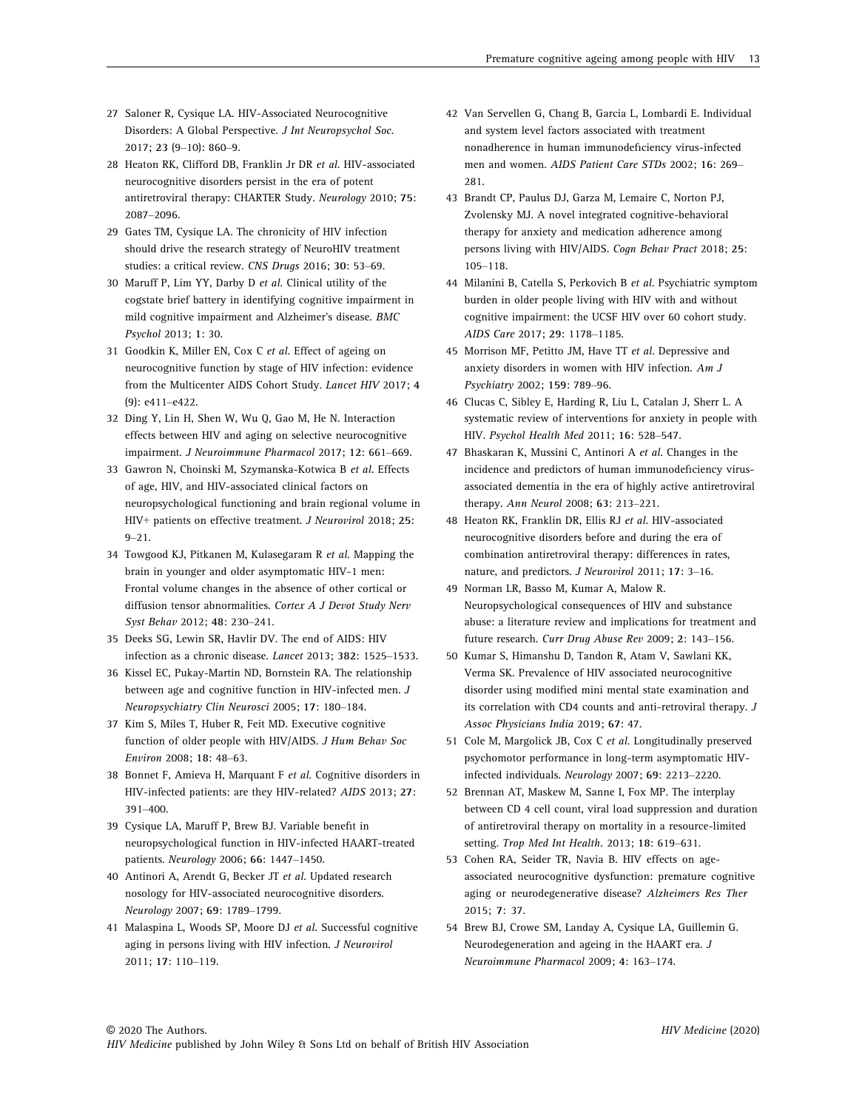- 27 Saloner R, Cysique LA. HIV-Associated Neurocognitive Disorders: A Global Perspective. J Int Neuropsychol Soc. 2017; 23 (9–10): 860–9.
- 28 Heaton RK, Clifford DB, Franklin Jr DR et al. HIV-associated neurocognitive disorders persist in the era of potent antiretroviral therapy: CHARTER Study. Neurology 2010; 75: 2087–2096.
- 29 Gates TM, Cysique LA. The chronicity of HIV infection should drive the research strategy of NeuroHIV treatment studies: a critical review. CNS Drugs 2016; 30: 53–69.
- 30 Maruff P, Lim YY, Darby D et al. Clinical utility of the cogstate brief battery in identifying cognitive impairment in mild cognitive impairment and Alzheimer's disease. BMC Psychol 2013; 1: 30.
- 31 Goodkin K, Miller EN, Cox C et al. Effect of ageing on neurocognitive function by stage of HIV infection: evidence from the Multicenter AIDS Cohort Study. Lancet HIV 2017; 4 (9): e411–e422.
- 32 Ding Y, Lin H, Shen W, Wu Q, Gao M, He N. Interaction effects between HIV and aging on selective neurocognitive impairment. J Neuroimmune Pharmacol 2017; 12: 661–669.
- 33 Gawron N, Choinski M, Szymanska-Kotwica B et al. Effects of age, HIV, and HIV-associated clinical factors on neuropsychological functioning and brain regional volume in HIV+ patients on effective treatment. J Neurovirol 2018; 25:  $9 - 21$
- 34 Towgood KJ, Pitkanen M, Kulasegaram R et al. Mapping the brain in younger and older asymptomatic HIV-1 men: Frontal volume changes in the absence of other cortical or diffusion tensor abnormalities. Cortex A J Devot Study Nerv Syst Behav 2012; 48: 230–241.
- 35 Deeks SG, Lewin SR, Havlir DV. The end of AIDS: HIV infection as a chronic disease. Lancet 2013; 382: 1525–1533.
- 36 Kissel EC, Pukay-Martin ND, Bornstein RA. The relationship between age and cognitive function in HIV-infected men. J Neuropsychiatry Clin Neurosci 2005; 17: 180–184.
- 37 Kim S, Miles T, Huber R, Feit MD. Executive cognitive function of older people with HIV/AIDS. J Hum Behav Soc Environ 2008; 18: 48–63.
- 38 Bonnet F, Amieva H, Marquant F et al. Cognitive disorders in HIV-infected patients: are they HIV-related? AIDS 2013; 27: 391–400.
- 39 Cysique LA, Maruff P, Brew BJ. Variable benefit in neuropsychological function in HIV-infected HAART-treated patients. Neurology 2006; 66: 1447–1450.
- 40 Antinori A, Arendt G, Becker JT et al. Updated research nosology for HIV-associated neurocognitive disorders. Neurology 2007; 69: 1789–1799.
- 41 Malaspina L, Woods SP, Moore DJ et al. Successful cognitive aging in persons living with HIV infection. J Neurovirol 2011; 17: 110–119.
- 42 Van Servellen G, Chang B, Garcia L, Lombardi E. Individual and system level factors associated with treatment nonadherence in human immunodeficiency virus-infected men and women. AIDS Patient Care STDs 2002; 16: 269– 281.
- 43 Brandt CP, Paulus DJ, Garza M, Lemaire C, Norton PJ, Zvolensky MJ. A novel integrated cognitive-behavioral therapy for anxiety and medication adherence among persons living with HIV/AIDS. Cogn Behav Pract 2018; 25: 105–118.
- 44 Milanini B, Catella S, Perkovich B et al. Psychiatric symptom burden in older people living with HIV with and without cognitive impairment: the UCSF HIV over 60 cohort study. AIDS Care 2017; 29: 1178–1185.
- 45 Morrison MF, Petitto JM, Have TT et al. Depressive and anxiety disorders in women with HIV infection. Am J Psychiatry 2002; 159: 789–96.
- 46 Clucas C, Sibley E, Harding R, Liu L, Catalan J, Sherr L. A systematic review of interventions for anxiety in people with HIV. Psychol Health Med 2011; 16: 528–547.
- 47 Bhaskaran K, Mussini C, Antinori A et al. Changes in the incidence and predictors of human immunodeficiency virusassociated dementia in the era of highly active antiretroviral therapy. Ann Neurol 2008; 63: 213–221.
- 48 Heaton RK, Franklin DR, Ellis RJ et al. HIV-associated neurocognitive disorders before and during the era of combination antiretroviral therapy: differences in rates, nature, and predictors. J Neurovirol 2011; 17: 3–16.
- 49 Norman LR, Basso M, Kumar A, Malow R. Neuropsychological consequences of HIV and substance abuse: a literature review and implications for treatment and future research. Curr Drug Abuse Rev 2009; 2: 143–156.
- 50 Kumar S, Himanshu D, Tandon R, Atam V, Sawlani KK, Verma SK. Prevalence of HIV associated neurocognitive disorder using modified mini mental state examination and its correlation with CD4 counts and anti-retroviral therapy. J Assoc Physicians India 2019; 67: 47.
- 51 Cole M, Margolick JB, Cox C et al. Longitudinally preserved psychomotor performance in long-term asymptomatic HIVinfected individuals. Neurology 2007; 69: 2213–2220.
- 52 Brennan AT, Maskew M, Sanne I, Fox MP. The interplay between CD 4 cell count, viral load suppression and duration of antiretroviral therapy on mortality in a resource-limited setting. Trop Med Int Health. 2013; 18: 619–631.
- 53 Cohen RA, Seider TR, Navia B. HIV effects on ageassociated neurocognitive dysfunction: premature cognitive aging or neurodegenerative disease? Alzheimers Res Ther 2015; 7: 37.
- 54 Brew BJ, Crowe SM, Landay A, Cysique LA, Guillemin G. Neurodegeneration and ageing in the HAART era. J Neuroimmune Pharmacol 2009; 4: 163–174.